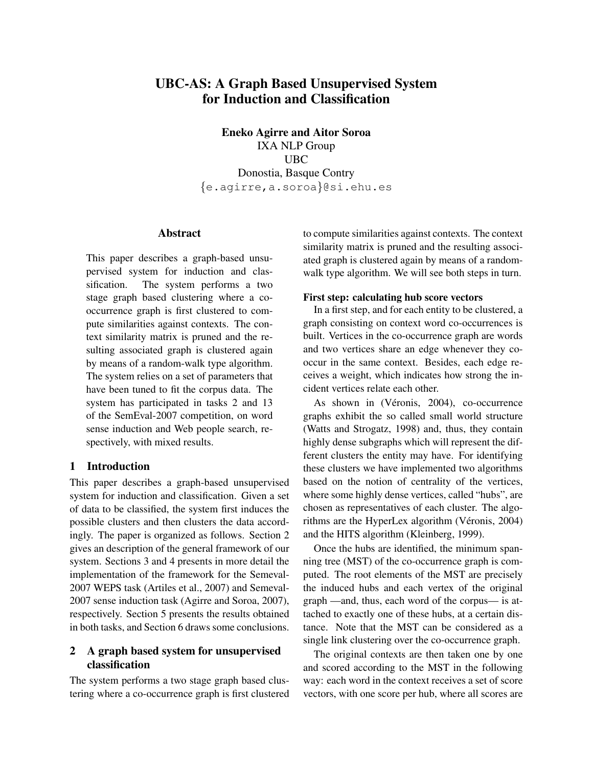# UBC-AS: A Graph Based Unsupervised System for Induction and Classification

Eneko Agirre and Aitor Soroa IXA NLP Group UBC Donostia, Basque Contry {e.agirre,a.soroa}@si.ehu.es

## Abstract

This paper describes a graph-based unsupervised system for induction and classification. The system performs a two stage graph based clustering where a cooccurrence graph is first clustered to compute similarities against contexts. The context similarity matrix is pruned and the resulting associated graph is clustered again by means of a random-walk type algorithm. The system relies on a set of parameters that have been tuned to fit the corpus data. The system has participated in tasks 2 and 13 of the SemEval-2007 competition, on word sense induction and Web people search, respectively, with mixed results.

#### 1 Introduction

This paper describes a graph-based unsupervised system for induction and classification. Given a set of data to be classified, the system first induces the possible clusters and then clusters the data accordingly. The paper is organized as follows. Section 2 gives an description of the general framework of our system. Sections 3 and 4 presents in more detail the implementation of the framework for the Semeval-2007 WEPS task (Artiles et al., 2007) and Semeval-2007 sense induction task (Agirre and Soroa, 2007), respectively. Section 5 presents the results obtained in both tasks, and Section 6 draws some conclusions.

# 2 A graph based system for unsupervised classification

The system performs a two stage graph based clustering where a co-occurrence graph is first clustered to compute similarities against contexts. The context similarity matrix is pruned and the resulting associated graph is clustered again by means of a randomwalk type algorithm. We will see both steps in turn.

#### First step: calculating hub score vectors

In a first step, and for each entity to be clustered, a graph consisting on context word co-occurrences is built. Vertices in the co-occurrence graph are words and two vertices share an edge whenever they cooccur in the same context. Besides, each edge receives a weight, which indicates how strong the incident vertices relate each other.

As shown in (Véronis, 2004), co-occurrence graphs exhibit the so called small world structure (Watts and Strogatz, 1998) and, thus, they contain highly dense subgraphs which will represent the different clusters the entity may have. For identifying these clusters we have implemented two algorithms based on the notion of centrality of the vertices, where some highly dense vertices, called "hubs", are chosen as representatives of each cluster. The algorithms are the HyperLex algorithm (Véronis, 2004) and the HITS algorithm (Kleinberg, 1999).

Once the hubs are identified, the minimum spanning tree (MST) of the co-occurrence graph is computed. The root elements of the MST are precisely the induced hubs and each vertex of the original graph —and, thus, each word of the corpus— is attached to exactly one of these hubs, at a certain distance. Note that the MST can be considered as a single link clustering over the co-occurrence graph.

The original contexts are then taken one by one and scored according to the MST in the following way: each word in the context receives a set of score vectors, with one score per hub, where all scores are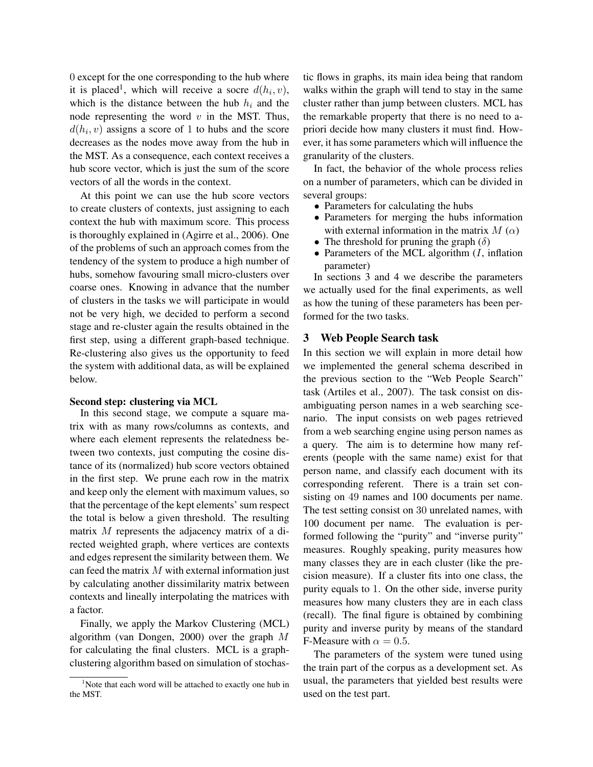0 except for the one corresponding to the hub where it is placed<sup>1</sup>, which will receive a socre  $d(h_i, v)$ , which is the distance between the hub  $h_i$  and the node representing the word  $v$  in the MST. Thus,  $d(h_i, v)$  assigns a score of 1 to hubs and the score decreases as the nodes move away from the hub in the MST. As a consequence, each context receives a hub score vector, which is just the sum of the score vectors of all the words in the context.

At this point we can use the hub score vectors to create clusters of contexts, just assigning to each context the hub with maximum score. This process is thoroughly explained in (Agirre et al., 2006). One of the problems of such an approach comes from the tendency of the system to produce a high number of hubs, somehow favouring small micro-clusters over coarse ones. Knowing in advance that the number of clusters in the tasks we will participate in would not be very high, we decided to perform a second stage and re-cluster again the results obtained in the first step, using a different graph-based technique. Re-clustering also gives us the opportunity to feed the system with additional data, as will be explained below.

#### Second step: clustering via MCL

In this second stage, we compute a square matrix with as many rows/columns as contexts, and where each element represents the relatedness between two contexts, just computing the cosine distance of its (normalized) hub score vectors obtained in the first step. We prune each row in the matrix and keep only the element with maximum values, so that the percentage of the kept elements' sum respect the total is below a given threshold. The resulting matrix M represents the adjacency matrix of a directed weighted graph, where vertices are contexts and edges represent the similarity between them. We can feed the matrix  $M$  with external information just by calculating another dissimilarity matrix between contexts and lineally interpolating the matrices with a factor.

Finally, we apply the Markov Clustering (MCL) algorithm (van Dongen, 2000) over the graph M for calculating the final clusters. MCL is a graphclustering algorithm based on simulation of stochastic flows in graphs, its main idea being that random walks within the graph will tend to stay in the same cluster rather than jump between clusters. MCL has the remarkable property that there is no need to apriori decide how many clusters it must find. However, it has some parameters which will influence the granularity of the clusters.

In fact, the behavior of the whole process relies on a number of parameters, which can be divided in several groups:

- Parameters for calculating the hubs
- Parameters for merging the hubs information with external information in the matrix  $M(\alpha)$
- The threshold for pruning the graph  $(\delta)$
- Parameters of the MCL algorithm  $(I, \text{inflation})$ parameter)

In sections 3 and 4 we describe the parameters we actually used for the final experiments, as well as how the tuning of these parameters has been performed for the two tasks.

## 3 Web People Search task

In this section we will explain in more detail how we implemented the general schema described in the previous section to the "Web People Search" task (Artiles et al., 2007). The task consist on disambiguating person names in a web searching scenario. The input consists on web pages retrieved from a web searching engine using person names as a query. The aim is to determine how many referents (people with the same name) exist for that person name, and classify each document with its corresponding referent. There is a train set consisting on 49 names and 100 documents per name. The test setting consist on 30 unrelated names, with 100 document per name. The evaluation is performed following the "purity" and "inverse purity" measures. Roughly speaking, purity measures how many classes they are in each cluster (like the precision measure). If a cluster fits into one class, the purity equals to 1. On the other side, inverse purity measures how many clusters they are in each class (recall). The final figure is obtained by combining purity and inverse purity by means of the standard F-Measure with  $\alpha = 0.5$ .

The parameters of the system were tuned using the train part of the corpus as a development set. As usual, the parameters that yielded best results were used on the test part.

<sup>&</sup>lt;sup>1</sup>Note that each word will be attached to exactly one hub in the MST.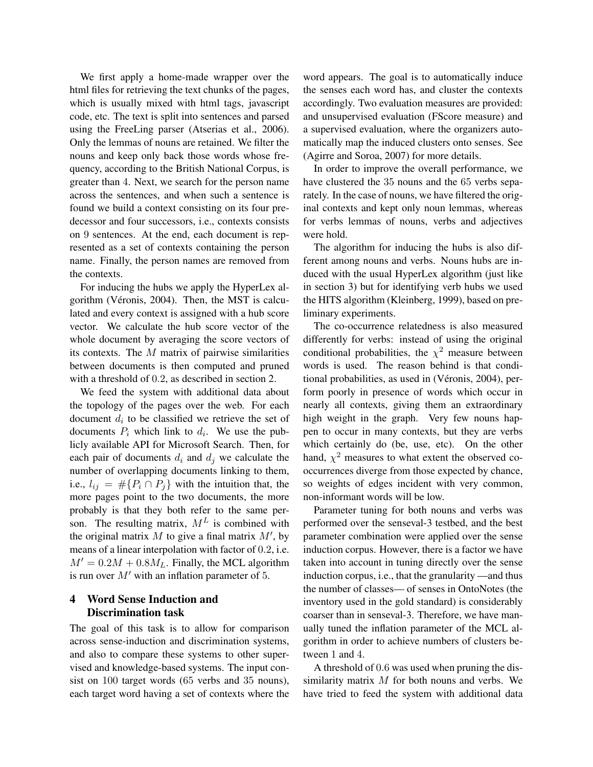We first apply a home-made wrapper over the html files for retrieving the text chunks of the pages, which is usually mixed with html tags, javascript code, etc. The text is split into sentences and parsed using the FreeLing parser (Atserias et al., 2006). Only the lemmas of nouns are retained. We filter the nouns and keep only back those words whose frequency, according to the British National Corpus, is greater than 4. Next, we search for the person name across the sentences, and when such a sentence is found we build a context consisting on its four predecessor and four successors, i.e., contexts consists on 9 sentences. At the end, each document is represented as a set of contexts containing the person name. Finally, the person names are removed from the contexts.

For inducing the hubs we apply the HyperLex algorithm (Véronis, 2004). Then, the MST is calculated and every context is assigned with a hub score vector. We calculate the hub score vector of the whole document by averaging the score vectors of its contexts. The  $M$  matrix of pairwise similarities between documents is then computed and pruned with a threshold of 0.2, as described in section 2.

We feed the system with additional data about the topology of the pages over the web. For each document  $d_i$  to be classified we retrieve the set of documents  $P_i$  which link to  $d_i$ . We use the publicly available API for Microsoft Search. Then, for each pair of documents  $d_i$  and  $d_j$  we calculate the number of overlapping documents linking to them, i.e.,  $l_{ij} = #{P_i \cap P_j}$  with the intuition that, the more pages point to the two documents, the more probably is that they both refer to the same person. The resulting matrix,  $M<sup>L</sup>$  is combined with the original matrix  $M$  to give a final matrix  $M'$ , by means of a linear interpolation with factor of 0.2, i.e.  $M' = 0.2M + 0.8M<sub>L</sub>$ . Finally, the MCL algorithm is run over  $M'$  with an inflation parameter of 5.

# 4 Word Sense Induction and Discrimination task

The goal of this task is to allow for comparison across sense-induction and discrimination systems, and also to compare these systems to other supervised and knowledge-based systems. The input consist on 100 target words (65 verbs and 35 nouns), each target word having a set of contexts where the word appears. The goal is to automatically induce the senses each word has, and cluster the contexts accordingly. Two evaluation measures are provided: and unsupervised evaluation (FScore measure) and a supervised evaluation, where the organizers automatically map the induced clusters onto senses. See (Agirre and Soroa, 2007) for more details.

In order to improve the overall performance, we have clustered the 35 nouns and the 65 verbs separately. In the case of nouns, we have filtered the original contexts and kept only noun lemmas, whereas for verbs lemmas of nouns, verbs and adjectives were hold.

The algorithm for inducing the hubs is also different among nouns and verbs. Nouns hubs are induced with the usual HyperLex algorithm (just like in section 3) but for identifying verb hubs we used the HITS algorithm (Kleinberg, 1999), based on preliminary experiments.

The co-occurrence relatedness is also measured differently for verbs: instead of using the original conditional probabilities, the  $\chi^2$  measure between words is used. The reason behind is that conditional probabilities, as used in (Véronis, 2004), perform poorly in presence of words which occur in nearly all contexts, giving them an extraordinary high weight in the graph. Very few nouns happen to occur in many contexts, but they are verbs which certainly do (be, use, etc). On the other hand,  $\chi^2$  measures to what extent the observed cooccurrences diverge from those expected by chance, so weights of edges incident with very common, non-informant words will be low.

Parameter tuning for both nouns and verbs was performed over the senseval-3 testbed, and the best parameter combination were applied over the sense induction corpus. However, there is a factor we have taken into account in tuning directly over the sense induction corpus, i.e., that the granularity —and thus the number of classes— of senses in OntoNotes (the inventory used in the gold standard) is considerably coarser than in senseval-3. Therefore, we have manually tuned the inflation parameter of the MCL algorithm in order to achieve numbers of clusters between 1 and 4.

A threshold of 0.6 was used when pruning the dissimilarity matrix  $M$  for both nouns and verbs. We have tried to feed the system with additional data